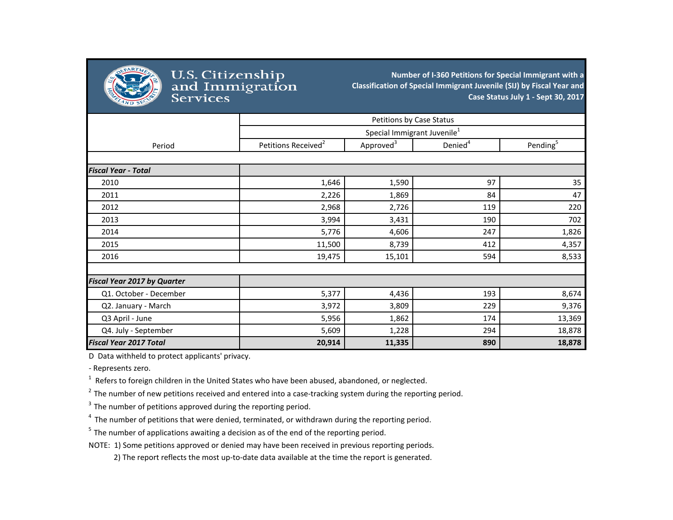

## **Number of I-360 Petitions for Special Immigrant with a Classification of Special Immigrant Juvenile (SIJ) by Fiscal Year and Case Status July 1 - Sept 30, 2017**

|                                    | Petitions by Case Status                |                       |                     |                      |
|------------------------------------|-----------------------------------------|-----------------------|---------------------|----------------------|
|                                    | Special Immigrant Juvenile <sup>1</sup> |                       |                     |                      |
| Period                             | Petitions Received <sup>2</sup>         | Approved <sup>3</sup> | Denied <sup>4</sup> | Pending <sup>5</sup> |
|                                    |                                         |                       |                     |                      |
| <b>Fiscal Year - Total</b>         |                                         |                       |                     |                      |
| 2010                               | 1,646                                   | 1,590                 | 97                  | 35                   |
| 2011                               | 2,226                                   | 1,869                 | 84                  | 47                   |
| 2012                               | 2,968                                   | 2,726                 | 119                 | 220                  |
| 2013                               | 3,994                                   | 3,431                 | 190                 | 702                  |
| 2014                               | 5,776                                   | 4,606                 | 247                 | 1,826                |
| 2015                               | 11,500                                  | 8,739                 | 412                 | 4,357                |
| 2016                               | 19,475                                  | 15,101                | 594                 | 8,533                |
|                                    |                                         |                       |                     |                      |
| <b>Fiscal Year 2017 by Quarter</b> |                                         |                       |                     |                      |
| Q1. October - December             | 5,377                                   | 4,436                 | 193                 | 8,674                |
| Q2. January - March                | 3,972                                   | 3,809                 | 229                 | 9,376                |
| Q3 April - June                    | 5,956                                   | 1,862                 | 174                 | 13,369               |
| Q4. July - September               | 5,609                                   | 1,228                 | 294                 | 18,878               |
| <b>Fiscal Year 2017 Total</b>      | 20,914                                  | 11,335                | 890                 | 18,878               |

D Data withheld to protect applicants' privacy.

- Represents zero.

 $1$  Refers to foreign children in the United States who have been abused, abandoned, or neglected.

 $2$  The number of new petitions received and entered into a case-tracking system during the reporting period.

 $3$  The number of petitions approved during the reporting period.

 $4\,$  The number of petitions that were denied, terminated, or withdrawn during the reporting period.

 $5$  The number of applications awaiting a decision as of the end of the reporting period.

NOTE: 1) Some petitions approved or denied may have been received in previous reporting periods.

2) The report reflects the most up-to-date data available at the time the report is generated.